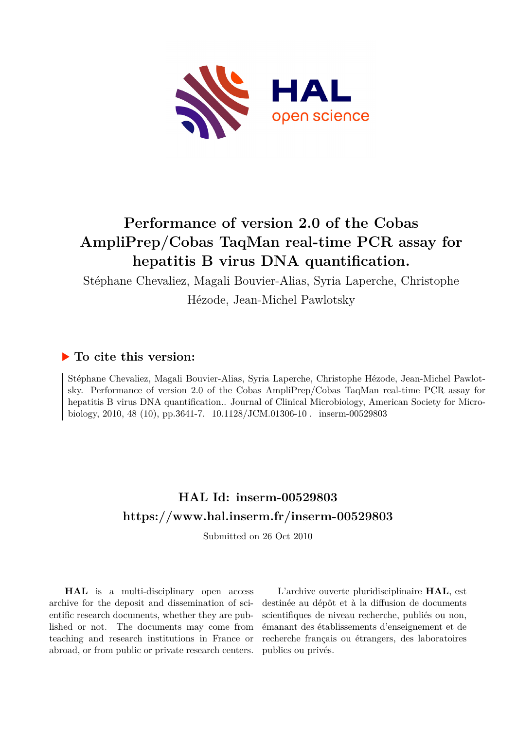

# **Performance of version 2.0 of the Cobas AmpliPrep/Cobas TaqMan real-time PCR assay for hepatitis B virus DNA quantification.**

Stéphane Chevaliez, Magali Bouvier-Alias, Syria Laperche, Christophe

Hézode, Jean-Michel Pawlotsky

## **To cite this version:**

Stéphane Chevaliez, Magali Bouvier-Alias, Syria Laperche, Christophe Hézode, Jean-Michel Pawlotsky. Performance of version 2.0 of the Cobas AmpliPrep/Cobas TaqMan real-time PCR assay for hepatitis B virus DNA quantification.. Journal of Clinical Microbiology, American Society for Microbiology, 2010, 48 (10), pp.3641-7.  $10.1128/JCM.01306-10$ . inserm-00529803

## **HAL Id: inserm-00529803 <https://www.hal.inserm.fr/inserm-00529803>**

Submitted on 26 Oct 2010

**HAL** is a multi-disciplinary open access archive for the deposit and dissemination of scientific research documents, whether they are published or not. The documents may come from teaching and research institutions in France or abroad, or from public or private research centers.

L'archive ouverte pluridisciplinaire **HAL**, est destinée au dépôt et à la diffusion de documents scientifiques de niveau recherche, publiés ou non, émanant des établissements d'enseignement et de recherche français ou étrangers, des laboratoires publics ou privés.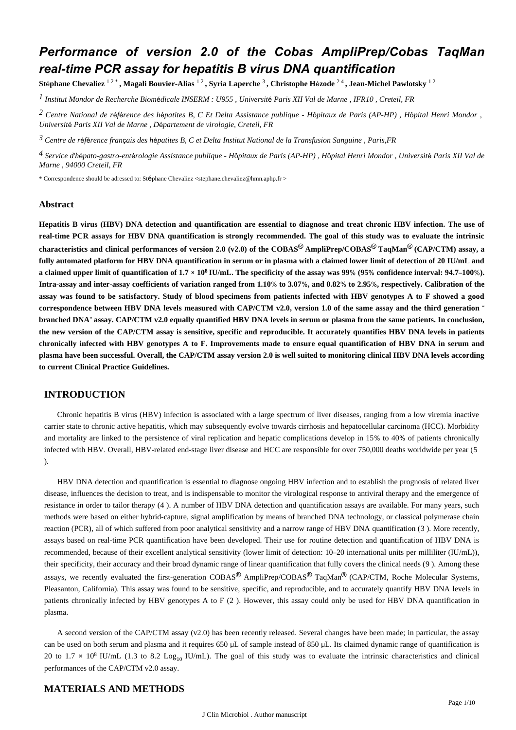## *Performance of version 2.0 of the Cobas AmpliPrep/Cobas TaqMan real-time PCR assay for hepatitis B virus DNA quantification*

**St**é**phane Chevaliez** 1 2 \* **, Magali Bouvier-Alias** 1 2 **, Syria Laperche** <sup>3</sup> **, Christophe H**é**zode** 2 4 **, Jean-Michel Pawlotsky** 1 2

*Institut Mondor de Recherche Biom dicale 1* <sup>é</sup> *INSERM : U955 , Universit*é *Paris XII Val de Marne , IFR10 , Creteil, FR*

*Centre National de r f rence des h patites B, C Et Delta 2* <sup>é</sup> <sup>é</sup> <sup>é</sup> *Assistance publique - H*ô*pitaux de Paris (AP-HP) , H*ô*pital Henri Mondor , Universit*é *Paris XII Val de Marne , D*é*partement de virologie, Creteil, FR*

*Centre de r f rence fran ais des h patites B, C et Delta 3* <sup>é</sup> <sup>é</sup> <sup>ç</sup> <sup>é</sup> *Institut National de la Transfusion Sanguine , Paris,FR*

*Service d h pato-gastro-ent rologie 4*  ' é é *Assistance publique - H*ô*pitaux de Paris (AP-HP) , H*ô*pital Henri Mondor , Universit*é *Paris XII Val de Marne , 94000 Creteil, FR*

\* Correspondence should be adressed to: Stéphane Chevaliez <stephane.chevaliez@hmn.aphp.fr >

### **Abstract**

**Hepatitis B virus (HBV) DNA detection and quantification are essential to diagnose and treat chronic HBV infection. The use of real-time PCR assays for HBV DNA quantification is strongly recommended. The goal of this study was to evaluate the intrinsic characteristics and clinical performances of version 2.0 (v2.0) of the COBAS<sup>®</sup> AmpliPrep/COBAS<sup>®</sup> TaqMan<sup>®</sup> (CAP/CTM) assay, a fully automated platform for HBV DNA quantification in serum or in plasma with a claimed lower limit of detection of 20 IU/mL and** a claimed upper limit of quantification of  $1.7 \times 10^8$  IU/mL. The specificity of the assay was 99% (95% confidence interval: 94.7–100%). **Intra-assay and inter-assay coefficients of variation ranged from 1.10**% **to 3.07**%**, and 0.82**% **to 2.95**%**, respectively. Calibration of the assay was found to be satisfactory. Study of blood specimens from patients infected with HBV genotypes A to F showed a good correspondence between HBV DNA levels measured with CAP/CTM v2.0, version 1.0 of the same assay and the third generation** " **branched DNA**" **assay. CAP/CTM v2.0 equally quantified HBV DNA levels in serum or plasma from the same patients. In conclusion, the new version of the CAP/CTM assay is sensitive, specific and reproducible. It accurately quantifies HBV DNA levels in patients chronically infected with HBV genotypes A to F. Improvements made to ensure equal quantification of HBV DNA in serum and plasma have been successful. Overall, the CAP/CTM assay version 2.0 is well suited to monitoring clinical HBV DNA levels according to current Clinical Practice Guidelines.**

## **INTRODUCTION**

Chronic hepatitis B virus (HBV) infection is associated with a large spectrum of liver diseases, ranging from a low viremia inactive carrier state to chronic active hepatitis, which may subsequently evolve towards cirrhosis and hepatocellular carcinoma (HCC). Morbidity and mortality are linked to the persistence of viral replication and hepatic complications develop in 15% to 40% of patients chronically infected with HBV. Overall, HBV-related end-stage liver disease and HCC are responsible for over 750,000 deaths worldwide per year (5 ).

HBV DNA detection and quantification is essential to diagnose ongoing HBV infection and to establish the prognosis of related liver disease, influences the decision to treat, and is indispensable to monitor the virological response to antiviral therapy and the emergence of resistance in order to tailor therapy (4 ). A number of HBV DNA detection and quantification assays are available. For many years, such methods were based on either hybrid-capture, signal amplification by means of branched DNA technology, or classical polymerase chain reaction (PCR), all of which suffered from poor analytical sensitivity and a narrow range of HBV DNA quantification (3 ). More recently, assays based on real-time PCR quantification have been developed. Their use for routine detection and quantification of HBV DNA is recommended, because of their excellent analytical sensitivity (lower limit of detection: 10–20 international units per milliliter (IU/mL)), their specificity, their accuracy and their broad dynamic range of linear quantification that fully covers the clinical needs (9 ). Among these assays, we recently evaluated the first-generation  $\text{COBAS}^{\textcircled{B}}$  AmpliPrep/COBAS<sup>®</sup> TaqMan<sup>®</sup> (CAP/CTM, Roche Molecular Systems, Pleasanton, California). This assay was found to be sensitive, specific, and reproducible, and to accurately quantify HBV DNA levels in patients chronically infected by HBV genotypes A to F (2 ). However, this assay could only be used for HBV DNA quantification in plasma.

A second version of the CAP/CTM assay (v2.0) has been recently released. Several changes have been made; in particular, the assay can be used on both serum and plasma and it requires 650 μL of sample instead of 850 μL. Its claimed dynamic range of quantification is 20 to 1.7  $\times$  10<sup>8</sup> IU/mL (1.3 to 8.2 Log<sub>10</sub> IU/mL). The goal of this study was to evaluate the intrinsic characteristics and clinical performances of the CAP/CTM v2.0 assay.

## **MATERIALS AND METHODS**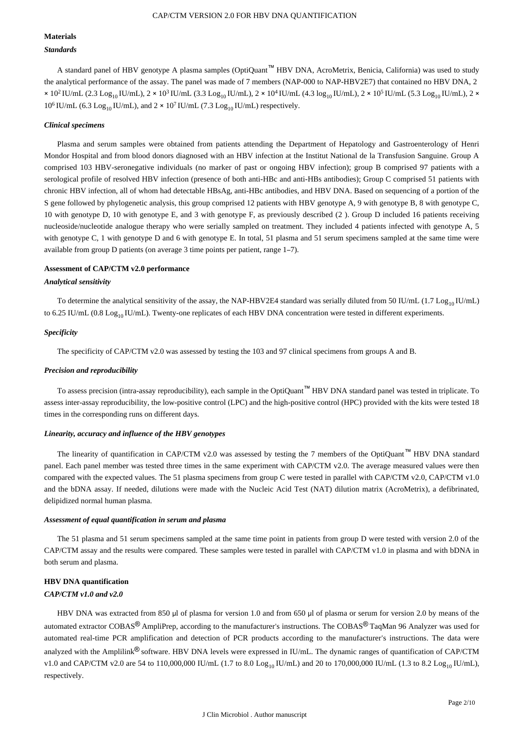### **Materials** *Standards*

A standard panel of HBV genotype A plasma samples (OptiQuant™ HBV DNA, AcroMetrix, Benicia, California) was used to study the analytical performance of the assay. The panel was made of 7 members (NAP-000 to NAP-HBV2E7) that contained no HBV DNA, 2  $\times$  10<sup>2</sup> IU/mL (2.3 Log<sub>10</sub> IU/mL), 2  $\times$  10<sup>3</sup> IU/mL (3.3 Log<sub>10</sub> IU/mL), 2  $\times$  10<sup>4</sup> IU/mL (4.3 log<sub>10</sub> IU/mL), 2  $\times$  10<sup>5</sup> IU/mL (5.3 Log<sub>10</sub> IU/mL), 2  $\times$ 10<sup>6</sup> IU/mL (6.3 Log<sub>10</sub> IU/mL), and 2  $\times$  10<sup>7</sup> IU/mL (7.3 Log<sub>10</sub> IU/mL) respectively.

#### *Clinical specimens*

Plasma and serum samples were obtained from patients attending the Department of Hepatology and Gastroenterology of Henri Mondor Hospital and from blood donors diagnosed with an HBV infection at the Institut National de la Transfusion Sanguine. Group A comprised 103 HBV-seronegative individuals (no marker of past or ongoing HBV infection); group B comprised 97 patients with a serological profile of resolved HBV infection (presence of both anti-HBc and anti-HBs antibodies); Group C comprised 51 patients with chronic HBV infection, all of whom had detectable HBsAg, anti-HBc antibodies, and HBV DNA. Based on sequencing of a portion of the S gene followed by phylogenetic analysis, this group comprised 12 patients with HBV genotype A, 9 with genotype B, 8 with genotype C, 10 with genotype D, 10 with genotype E, and 3 with genotype F, as previously described (2 ). Group D included 16 patients receiving nucleoside/nucleotide analogue therapy who were serially sampled on treatment. They included 4 patients infected with genotype A, 5 with genotype C, 1 with genotype D and 6 with genotype E. In total, 51 plasma and 51 serum specimens sampled at the same time were available from group D patients (on average 3 time points per patient, range 1–7).

#### **Assessment of CAP/CTM v2.0 performance**

#### *Analytical sensitivity*

To determine the analytical sensitivity of the assay, the NAP-HBV2E4 standard was serially diluted from 50 IU/mL (1.7 Log<sub>10</sub> IU/mL) to 6.25 IU/mL (0.8 Log<sub>10</sub> IU/mL). Twenty-one replicates of each HBV DNA concentration were tested in different experiments.

#### *Specificity*

The specificity of CAP/CTM v2.0 was assessed by testing the 103 and 97 clinical specimens from groups A and B.

#### *Precision and reproducibility*

To assess precision (intra-assay reproducibility), each sample in the OptiQuant™ HBV DNA standard panel was tested in triplicate. To assess inter-assay reproducibility, the low-positive control (LPC) and the high-positive control (HPC) provided with the kits were tested 18 times in the corresponding runs on different days.

#### *Linearity, accuracy and influence of the HBV genotypes*

The linearity of quantification in CAP/CTM v2.0 was assessed by testing the 7 members of the OptiQuant™ HBV DNA standard panel. Each panel member was tested three times in the same experiment with CAP/CTM v2.0. The average measured values were then compared with the expected values. The 51 plasma specimens from group C were tested in parallel with CAP/CTM v2.0, CAP/CTM v1.0 and the bDNA assay. If needed, dilutions were made with the Nucleic Acid Test (NAT) dilution matrix (AcroMetrix), a defibrinated, delipidized normal human plasma.

#### *Assessment of equal quantification in serum and plasma*

The 51 plasma and 51 serum specimens sampled at the same time point in patients from group D were tested with version 2.0 of the CAP/CTM assay and the results were compared. These samples were tested in parallel with CAP/CTM v1.0 in plasma and with bDNA in both serum and plasma.

## **HBV DNA quantification**

## *CAP/CTM v1.0 and v2.0*

HBV DNA was extracted from 850 μl of plasma for version 1.0 and from 650 μl of plasma or serum for version 2.0 by means of the automated extractor COBAS® AmpliPrep, according to the manufacturer's instructions. The COBAS® TaqMan 96 Analyzer was used for automated real-time PCR amplification and detection of PCR products according to the manufacturer's instructions. The data were analyzed with the Amplilink® software. HBV DNA levels were expressed in IU/mL. The dynamic ranges of quantification of CAP/CTM v1.0 and CAP/CTM v2.0 are 54 to 110,000,000 IU/mL (1.7 to 8.0 Log<sub>10</sub> IU/mL) and 20 to 170,000,000 IU/mL (1.3 to 8.2 Log<sub>10</sub> IU/mL), respectively.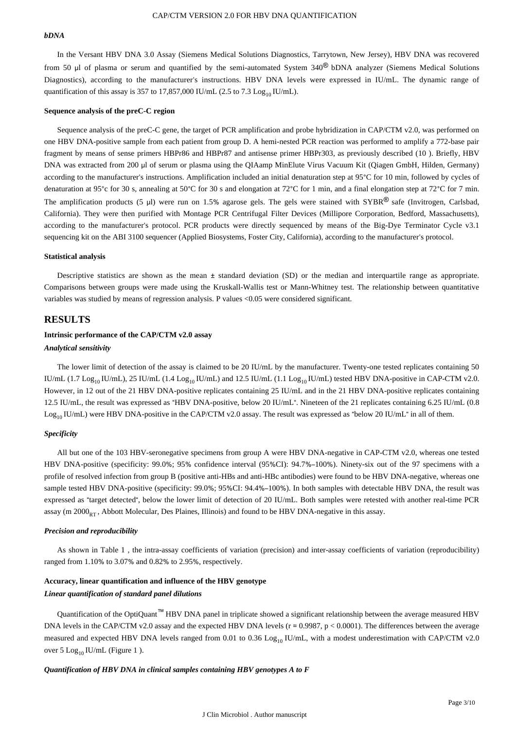#### *bDNA*

In the Versant HBV DNA 3.0 Assay (Siemens Medical Solutions Diagnostics, Tarrytown, New Jersey), HBV DNA was recovered from 50 μl of plasma or serum and quantified by the semi-automated System 340® bDNA analyzer (Siemens Medical Solutions Diagnostics), according to the manufacturer's instructions. HBV DNA levels were expressed in IU/mL. The dynamic range of quantification of this assay is 357 to 17,857,000 IU/mL (2.5 to 7.3 Log<sub>10</sub> IU/mL).

#### **Sequence analysis of the preC-C region**

Sequence analysis of the preC-C gene, the target of PCR amplification and probe hybridization in CAP/CTM v2.0, was performed on one HBV DNA-positive sample from each patient from group D. A hemi-nested PCR reaction was performed to amplify a 772-base pair fragment by means of sense primers HBPr86 and HBPr87 and antisense primer HBPr303, as previously described (10 ). Briefly, HBV DNA was extracted from 200 μl of serum or plasma using the QIAamp MinElute Virus Vacuum Kit (Qiagen GmbH, Hilden, Germany) according to the manufacturer's instructions. Amplification included an initial denaturation step at 95°C for 10 min, followed by cycles of denaturation at 95°c for 30 s, annealing at 50°C for 30 s and elongation at 72°C for 1 min, and a final elongation step at 72°C for 7 min. The amplification products (5 µl) were run on 1.5% agarose gels. The gels were stained with SYBR® safe (Invitrogen, Carlsbad, California). They were then purified with Montage PCR Centrifugal Filter Devices (Millipore Corporation, Bedford, Massachusetts), according to the manufacturer's protocol. PCR products were directly sequenced by means of the Big-Dye Terminator Cycle v3.1 sequencing kit on the ABI 3100 sequencer (Applied Biosystems, Foster City, California), according to the manufacturer's protocol.

#### **Statistical analysis**

Descriptive statistics are shown as the mean ± standard deviation (SD) or the median and interquartile range as appropriate. Comparisons between groups were made using the Kruskall-Wallis test or Mann-Whitney test. The relationship between quantitative variables was studied by means of regression analysis. P values <0.05 were considered significant.

## **RESULTS**

#### **Intrinsic performance of the CAP/CTM v2.0 assay**

#### *Analytical sensitivity*

The lower limit of detection of the assay is claimed to be 20 IU/mL by the manufacturer. Twenty-one tested replicates containing 50 IU/mL (1.7 Log<sub>10</sub> IU/mL), 25 IU/mL (1.4 Log<sub>10</sub> IU/mL) and 12.5 IU/mL (1.1 Log<sub>10</sub> IU/mL) tested HBV DNA-positive in CAP-CTM v2.0. However, in 12 out of the 21 HBV DNA-positive replicates containing 25 IU/mL and in the 21 HBV DNA-positive replicates containing 12.5 IU/mL, the result was expressed as "HBV DNA-positive, below 20 IU/mL". Nineteen of the 21 replicates containing 6.25 IU/mL (0.8  $Log_{10}$  IU/mL) were HBV DNA-positive in the CAP/CTM v2.0 assay. The result was expressed as "below 20 IU/mL" in all of them.

#### *Specificity*

All but one of the 103 HBV-seronegative specimens from group A were HBV DNA-negative in CAP-CTM v2.0, whereas one tested HBV DNA-positive (specificity: 99.0%; 95% confidence interval (95%CI): 94.7%–100%). Ninety-six out of the 97 specimens with a profile of resolved infection from group B (positive anti-HBs and anti-HBc antibodies) were found to be HBV DNA-negative, whereas one sample tested HBV DNA-positive (specificity: 99.0%; 95%CI: 94.4%–100%). In both samples with detectable HBV DNA, the result was expressed as "target detected", below the lower limit of detection of 20 IU/mL. Both samples were retested with another real-time PCR assay (m  $2000<sub>BT</sub>$ , Abbott Molecular, Des Plaines, Illinois) and found to be HBV DNA-negative in this assay.

#### *Precision and reproducibility*

As shown in Table 1 , the intra-assay coefficients of variation (precision) and inter-assay coefficients of variation (reproducibility) ranged from 1.10% to 3.07% and 0.82% to 2.95%, respectively.

#### **Accuracy, linear quantification and influence of the HBV genotype**

#### *Linear quantification of standard panel dilutions*

Quantification of the OptiQuant™ HBV DNA panel in triplicate showed a significant relationship between the average measured HBV DNA levels in the CAP/CTM v2.0 assay and the expected HBV DNA levels ( $r = 0.9987$ ,  $p < 0.0001$ ). The differences between the average measured and expected HBV DNA levels ranged from 0.01 to 0.36 Log<sub>10</sub> IU/mL, with a modest underestimation with CAP/CTM v2.0 over 5  $Log_{10}$  IU/mL (Figure 1).

#### *Quantification of HBV DNA in clinical samples containing HBV genotypes A to F*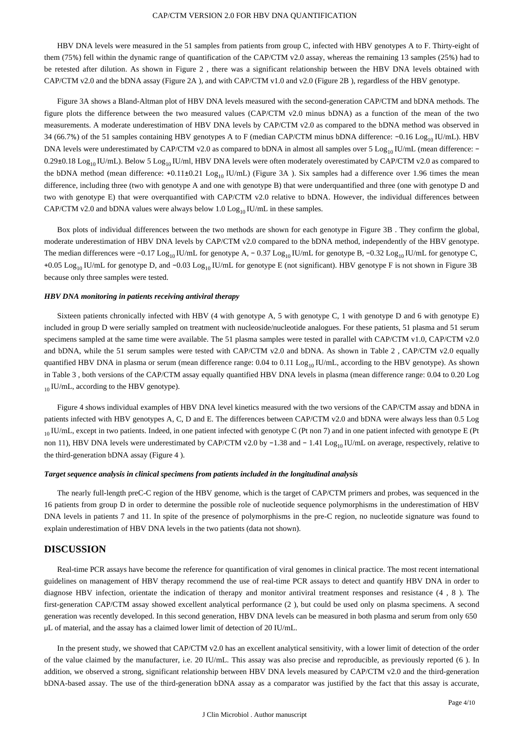HBV DNA levels were measured in the 51 samples from patients from group C, infected with HBV genotypes A to F. Thirty-eight of them (75%) fell within the dynamic range of quantification of the CAP/CTM v2.0 assay, whereas the remaining 13 samples (25%) had to be retested after dilution. As shown in Figure 2 , there was a significant relationship between the HBV DNA levels obtained with CAP/CTM v2.0 and the bDNA assay (Figure 2A ), and with CAP/CTM v1.0 and v2.0 (Figure 2B ), regardless of the HBV genotype.

Figure 3A shows a Bland-Altman plot of HBV DNA levels measured with the second-generation CAP/CTM and bDNA methods. The figure plots the difference between the two measured values (CAP/CTM v2.0 minus bDNA) as a function of the mean of the two measurements. A moderate underestimation of HBV DNA levels by CAP/CTM v2.0 as compared to the bDNA method was observed in 34 (66.7%) of the 51 samples containing HBV genotypes A to F (median CAP/CTM minus bDNA difference: -0.16 Log<sub>10</sub> IU/mL). HBV DNA levels were underestimated by CAP/CTM v2.0 as compared to bDNA in almost all samples over 5 Log<sub>10</sub> IU/mL (mean difference:  $-$ 0.29±0.18 Log<sub>10</sub> IU/mL). Below 5 Log<sub>10</sub> IU/ml, HBV DNA levels were often moderately overestimated by CAP/CTM v2.0 as compared to the bDNA method (mean difference: +0.11±0.21 Log<sub>10</sub> IU/mL) (Figure 3A). Six samples had a difference over 1.96 times the mean difference, including three (two with genotype A and one with genotype B) that were underquantified and three (one with genotype D and two with genotype E) that were overquantified with CAP/CTM v2.0 relative to bDNA. However, the individual differences between CAP/CTM v2.0 and bDNA values were always below 1.0  $\text{Log}_{10}$  IU/mL in these samples.

Box plots of individual differences between the two methods are shown for each genotype in Figure 3B . They confirm the global, moderate underestimation of HBV DNA levels by CAP/CTM v2.0 compared to the bDNA method, independently of the HBV genotype. The median differences were  $-0.17 \text{ Log}_{10}$  IU/mL for genotype A,  $-0.37 \text{ Log}_{10}$  IU/mL for genotype B,  $-0.32 \text{ Log}_{10}$  IU/mL for genotype C, +0.05 Log<sub>10</sub> IU/mL for genotype D, and -0.03 Log<sub>10</sub> IU/mL for genotype E (not significant). HBV genotype F is not shown in Figure 3B because only three samples were tested.

#### *HBV DNA monitoring in patients receiving antiviral therapy*

Sixteen patients chronically infected with HBV (4 with genotype A, 5 with genotype C, 1 with genotype D and 6 with genotype E) included in group D were serially sampled on treatment with nucleoside/nucleotide analogues. For these patients, 51 plasma and 51 serum specimens sampled at the same time were available. The 51 plasma samples were tested in parallel with CAP/CTM v1.0, CAP/CTM v2.0 and bDNA, while the 51 serum samples were tested with CAP/CTM v2.0 and bDNA. As shown in Table 2 , CAP/CTM v2.0 equally quantified HBV DNA in plasma or serum (mean difference range:  $0.04$  to  $0.11$  Log<sub>10</sub> IU/mL, according to the HBV genotype). As shown in Table 3 , both versions of the CAP/CTM assay equally quantified HBV DNA levels in plasma (mean difference range: 0.04 to 0.20 Log  $_{10}$  IU/mL, according to the HBV genotype).

Figure 4 shows individual examples of HBV DNA level kinetics measured with the two versions of the CAP/CTM assay and bDNA in patients infected with HBV genotypes A, C, D and E. The differences between CAP/CTM v2.0 and bDNA were always less than 0.5 Log  $_{10}$  IU/mL, except in two patients. Indeed, in one patient infected with genotype C (Pt non 7) and in one patient infected with genotype E (Pt non 11), HBV DNA levels were underestimated by CAP/CTM v2.0 by −1.38 and − 1.41 Log<sub>10</sub> IU/mL on average, respectively, relative to the third-generation bDNA assay (Figure 4 ).

#### *Target sequence analysis in clinical specimens from patients included in the longitudinal analysis*

The nearly full-length preC-C region of the HBV genome, which is the target of CAP/CTM primers and probes, was sequenced in the 16 patients from group D in order to determine the possible role of nucleotide sequence polymorphisms in the underestimation of HBV DNA levels in patients 7 and 11. In spite of the presence of polymorphisms in the pre-C region, no nucleotide signature was found to explain underestimation of HBV DNA levels in the two patients (data not shown).

## **DISCUSSION**

Real-time PCR assays have become the reference for quantification of viral genomes in clinical practice. The most recent international guidelines on management of HBV therapy recommend the use of real-time PCR assays to detect and quantify HBV DNA in order to diagnose HBV infection, orientate the indication of therapy and monitor antiviral treatment responses and resistance (4 , 8 ). The first-generation CAP/CTM assay showed excellent analytical performance (2 ), but could be used only on plasma specimens. A second generation was recently developed. In this second generation, HBV DNA levels can be measured in both plasma and serum from only 650 μL of material, and the assay has a claimed lower limit of detection of 20 IU/mL.

In the present study, we showed that CAP/CTM v2.0 has an excellent analytical sensitivity, with a lower limit of detection of the order of the value claimed by the manufacturer, i.e. 20 IU/mL. This assay was also precise and reproducible, as previously reported (6 ). In addition, we observed a strong, significant relationship between HBV DNA levels measured by CAP/CTM v2.0 and the third-generation bDNA-based assay. The use of the third-generation bDNA assay as a comparator was justified by the fact that this assay is accurate,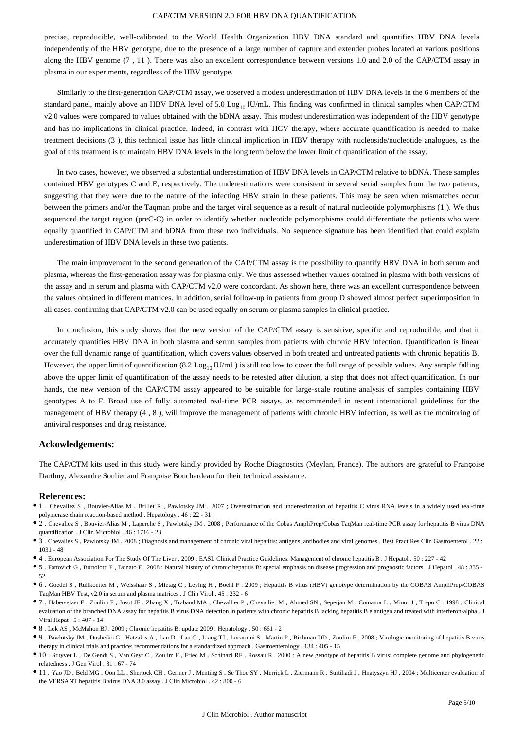#### CAP/CTM VERSION 2.0 FOR HBV DNA QUANTIFICATION

precise, reproducible, well-calibrated to the World Health Organization HBV DNA standard and quantifies HBV DNA levels independently of the HBV genotype, due to the presence of a large number of capture and extender probes located at various positions along the HBV genome (7 , 11 ). There was also an excellent correspondence between versions 1.0 and 2.0 of the CAP/CTM assay in plasma in our experiments, regardless of the HBV genotype.

Similarly to the first-generation CAP/CTM assay, we observed a modest underestimation of HBV DNA levels in the 6 members of the standard panel, mainly above an HBV DNA level of 5.0 Log<sub>10</sub> IU/mL. This finding was confirmed in clinical samples when CAP/CTM v2.0 values were compared to values obtained with the bDNA assay. This modest underestimation was independent of the HBV genotype and has no implications in clinical practice. Indeed, in contrast with HCV therapy, where accurate quantification is needed to make treatment decisions (3 ), this technical issue has little clinical implication in HBV therapy with nucleoside/nucleotide analogues, as the goal of this treatment is to maintain HBV DNA levels in the long term below the lower limit of quantification of the assay.

In two cases, however, we observed a substantial underestimation of HBV DNA levels in CAP/CTM relative to bDNA. These samples contained HBV genotypes C and E, respectively. The underestimations were consistent in several serial samples from the two patients, suggesting that they were due to the nature of the infecting HBV strain in these patients. This may be seen when mismatches occur between the primers and/or the Taqman probe and the target viral sequence as a result of natural nucleotide polymorphisms (1 ). We thus sequenced the target region (preC-C) in order to identify whether nucleotide polymorphisms could differentiate the patients who were equally quantified in CAP/CTM and bDNA from these two individuals. No sequence signature has been identified that could explain underestimation of HBV DNA levels in these two patients.

The main improvement in the second generation of the CAP/CTM assay is the possibility to quantify HBV DNA in both serum and plasma, whereas the first-generation assay was for plasma only. We thus assessed whether values obtained in plasma with both versions of the assay and in serum and plasma with CAP/CTM v2.0 were concordant. As shown here, there was an excellent correspondence between the values obtained in different matrices. In addition, serial follow-up in patients from group D showed almost perfect superimposition in all cases, confirming that CAP/CTM v2.0 can be used equally on serum or plasma samples in clinical practice.

In conclusion, this study shows that the new version of the CAP/CTM assay is sensitive, specific and reproducible, and that it accurately quantifies HBV DNA in both plasma and serum samples from patients with chronic HBV infection. Quantification is linear over the full dynamic range of quantification, which covers values observed in both treated and untreated patients with chronic hepatitis B. However, the upper limit of quantification (8.2 Log<sub>10</sub> IU/mL) is still too low to cover the full range of possible values. Any sample falling above the upper limit of quantification of the assay needs to be retested after dilution, a step that does not affect quantification. In our hands, the new version of the CAP/CTM assay appeared to be suitable for large-scale routine analysis of samples containing HBV genotypes A to F. Broad use of fully automated real-time PCR assays, as recommended in recent international guidelines for the management of HBV therapy (4 , 8 ), will improve the management of patients with chronic HBV infection, as well as the monitoring of antiviral responses and drug resistance.

#### **Ackowledgements:**

The CAP/CTM kits used in this study were kindly provided by Roche Diagnostics (Meylan, France). The authors are grateful to Françoise Darthuy, Alexandre Soulier and Françoise Bouchardeau for their technical assistance.

#### **References:**

- 1 . Chevaliez S , Bouvier-Alias M , Brillet R , Pawlotsky JM . 2007 ; Overestimation and underestimation of hepatitis C virus RNA levels in a widely used real-time polymerase chain reaction-based method . Hepatology . 46 : 22 - 31
- 2 . Chevaliez S , Bouvier-Alias M , Laperche S , Pawlotsky JM . 2008 ; Performance of the Cobas AmpliPrep/Cobas TaqMan real-time PCR assay for hepatitis B virus DNA quantification . J Clin Microbiol . 46 : 1716 - 23
- 3 . Chevaliez S , Pawlotsky JM . 2008 ; Diagnosis and management of chronic viral hepatitis: antigens, antibodies and viral genomes . Best Pract Res Clin Gastroenterol . 22 : 1031 - 48
- 4 . European Association For The Study Of The Liver . 2009 ; EASL Clinical Practice Guidelines: Management of chronic hepatitis B . J Hepatol . 50 : 227 42
- 5 . Fattovich G , Bortolotti F , Donato F . 2008 ; Natural history of chronic hepatitis B: special emphasis on disease progression and prognostic factors . J Hepatol . 48 : 335 52
- 6 . Goedel S , Rullkoetter M , Weisshaar S , Mietag C , Leying H , Boehl F . 2009 ; Hepatitis B virus (HBV) genotype determination by the COBAS AmpliPrep/COBAS TaqMan HBV Test, v2.0 in serum and plasma matrices . J Clin Virol . 45 : 232 - 6
- 7 . Habersetzer F , Zoulim F , Jusot JF , Zhang X , Trabaud MA , Chevallier P , Chevallier M , Ahmed SN , Sepetjan M , Comanor L , Minor J , Trepo C . 1998 ; Clinical evaluation of the branched DNA assay for hepatitis B virus DNA detection in patients with chronic hepatitis B lacking hepatitis B e antigen and treated with interferon-alpha . J Viral Hepat . 5 : 407 - 14
- $\bullet\,$  8 . Lok AS , McMahon BJ . 2009 ; Chronic hepatitis B: update 2009 . Hepatology . 50 : 661 2
- 9 . Pawlotsky JM , Dusheiko G , Hatzakis A , Lau D , Lau G , Liang TJ , Locarnini S , Martin P , Richman DD , Zoulim F . 2008 ; Virologic monitoring of hepatitis B virus therapy in clinical trials and practice: recommendations for a standardized approach . Gastroenterology . 134 : 405 - 15
- 10 . Stuyver L , De Gendt S , Van Geyt C , Zoulim F , Fried M , Schinazi RF , Rossau R . 2000 ; A new genotype of hepatitis B virus: complete genome and phylogenetic relatedness . J Gen Virol . 81 : 67 - 74
- 11 . Yao JD , Beld MG , Oon LL , Sherlock CH , Germer J , Menting S , Se Thoe SY , Merrick L , Ziermann R , Surtihadi J , Hnatyszyn HJ . 2004 ; Multicenter evaluation of the VERSANT hepatitis B virus DNA 3.0 assay . J Clin Microbiol . 42 : 800 - 6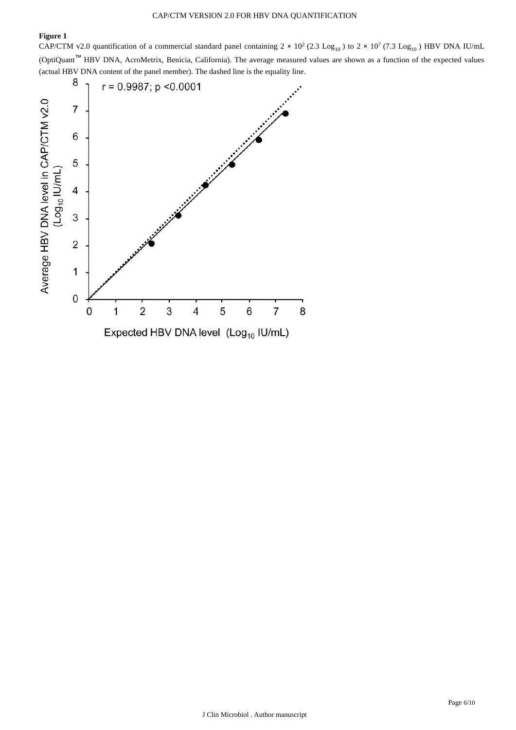## **Figure 1**

CAP/CTM v2.0 quantification of a commercial standard panel containing  $2 \times 10^2$  (2.3 Log<sub>10</sub>) to  $2 \times 10^7$  (7.3 Log<sub>10</sub>) HBV DNA IU/mL (OptiQuant™ HBV DNA, AcroMetrix, Benicia, California). The average measured values are shown as a function of the expected values (actual HBV DNA content of the panel member). The dashed line is the equality line.

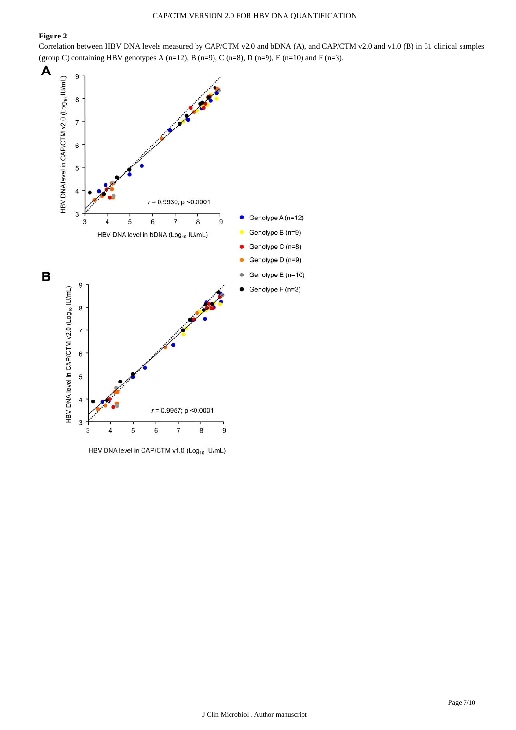## **Figure 2**

Correlation between HBV DNA levels measured by CAP/CTM v2.0 and bDNA (A), and CAP/CTM v2.0 and v1.0 (B) in 51 clinical samples (group C) containing HBV genotypes A (n=12), B (n=9), C (n=8), D (n=9), E (n=10) and F (n=3).



HBV DNA level in CAP/CTM v1.0 (Log<sub>10</sub> IU/mL)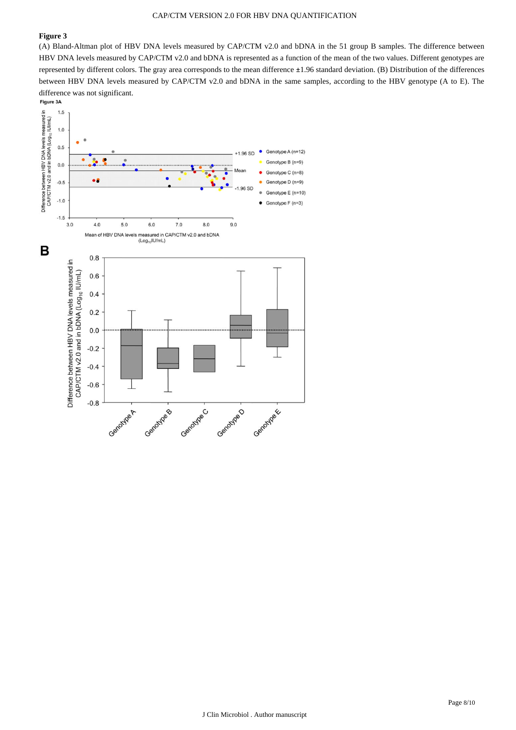#### CAP/CTM VERSION 2.0 FOR HBV DNA QUANTIFICATION

#### **Figure 3**

(A) Bland-Altman plot of HBV DNA levels measured by CAP/CTM v2.0 and bDNA in the 51 group B samples. The difference between HBV DNA levels measured by CAP/CTM v2.0 and bDNA is represented as a function of the mean of the two values. Different genotypes are represented by different colors. The gray area corresponds to the mean difference ±1.96 standard deviation. (B) Distribution of the differences between HBV DNA levels measured by CAP/CTM v2.0 and bDNA in the same samples, according to the HBV genotype (A to E). The difference was not significant.

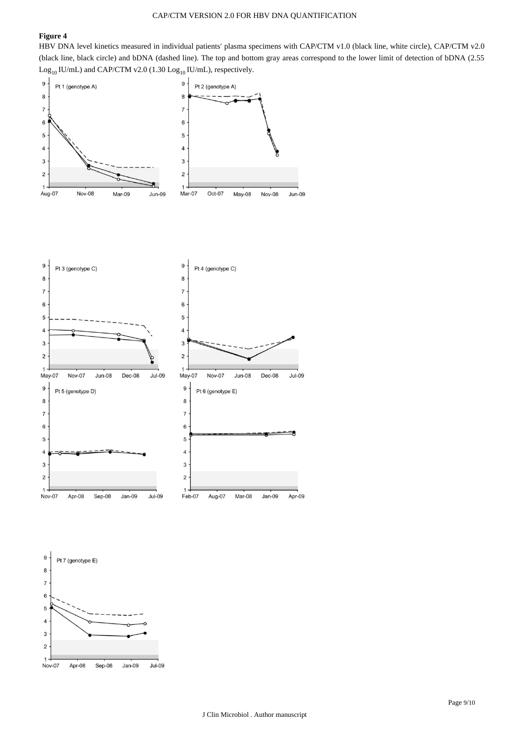## **Figure 4**

HBV DNA level kinetics measured in individual patients' plasma specimens with CAP/CTM v1.0 (black line, white circle), CAP/CTM v2.0 (black line, black circle) and bDNA (dashed line). The top and bottom gray areas correspond to the lower limit of detection of bDNA (2.55  $\rm Log_{10}$  IU/mL) and CAP/CTM v2.0 (1.30  $\rm Log_{10}$  IU/mL), respectively.